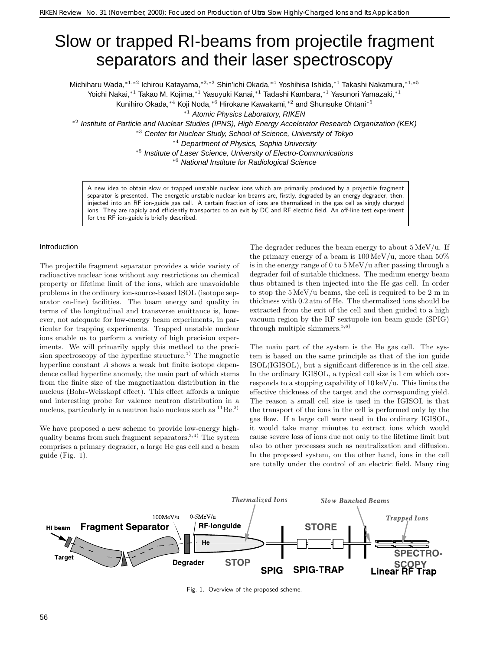# Slow or trapped RI-beams from projectile fragment separators and their laser spectroscopy

Michiharu Wada,∗1*,*∗<sup>2</sup> Ichirou Katayama,∗2*,*∗<sup>3</sup> Shin'ichi Okada,∗<sup>4</sup> Yoshihisa Ishida,∗<sup>1</sup> Takashi Nakamura,∗1*,*∗<sup>5</sup>

Yoichi Nakai,∗<sup>1</sup> Takao M. Kojima,∗<sup>1</sup> Yasuyuki Kanai,∗<sup>1</sup> Tadashi Kambara,∗<sup>1</sup> Yasunori Yamazaki,∗<sup>1</sup>

Kunihiro Okada,∗<sup>4</sup> Koji Noda,∗<sup>6</sup> Hirokane Kawakami,∗<sup>2</sup> and Shunsuke Ohtani∗<sup>5</sup>

<sup>∗</sup><sup>1</sup> Atomic Physics Laboratory, RIKEN

<sup>∗</sup><sup>2</sup> Institute of Particle and Nuclear Studies (IPNS), High Energy Accelerator Research Organization (KEK) <sup>∗</sup><sup>3</sup> Center for Nuclear Study, School of Science, University of Tokyo

<sup>∗</sup><sup>4</sup> Department of Physics, Sophia University

<sup>∗</sup><sup>5</sup> Institute of Laser Science, University of Electro-Communications

<sup>∗</sup><sup>6</sup> National Institute for Radiological Science

A new idea to obtain slow or trapped unstable nuclear ions which are primarily produced by a projectile fragment separator is presented. The energetic unstable nuclear ion beams are, firstly, degraded by an energy degrader, then, injected into an RF ion-guide gas cell. A certain fraction of ions are thermalized in the gas cell as singly charged ions. They are rapidly and efficiently transported to an exit by DC and RF electric field. An off-line test experiment for the RF ion-guide is briefly described.

### Introduction

The projectile fragment separator provides a wide variety of radioactive nuclear ions without any restrictions on chemical property or lifetime limit of the ions, which are unavoidable problems in the ordinary ion-source-based ISOL (isotope separator on-line) facilities. The beam energy and quality in terms of the longitudinal and transverse emittance is, however, not adequate for low-energy beam experiments, in particular for trapping experiments. Trapped unstable nuclear ions enable us to perform a variety of high precision experiments. We will primarily apply this method to the precision spectroscopy of the hyperfine structure.<sup>1)</sup> The magnetic hyperfine constant A shows a weak but finite isotope dependence called hyperfine anomaly, the main part of which stems from the finite size of the magnetization distribution in the nucleus (Bohr-Weisskopf effect).This effect affords a unique and interesting probe for valence neutron distribution in a nucleus, particularly in a neutron halo nucleus such as  ${}^{11}Be.{}^{2)}$ 

We have proposed a new scheme to provide low-energy highquality beams from such fragment separators.<sup>3,4)</sup> The system comprises a primary degrader, a large He gas cell and a beam guide (Fig.1).

The degrader reduces the beam energy to about  $5 \,\mathrm{MeV}/u$ . If the primary energy of a beam is  $100 \,\mathrm{MeV}/\mathrm{u}$ , more than  $50\%$ is in the energy range of 0 to 5 MeV/u after passing through a degrader foil of suitable thickness. The medium energy beam thus obtained is then injected into the He gas cell.In order to stop the 5 MeV/u beams, the cell is required to be 2 m in thickness with 0.2 atm of He. The thermalized ions should be extracted from the exit of the cell and then guided to a high vacuum region by the RF sextupole ion beam guide (SPIG) through multiple skimmers.<sup>5,6)</sup>

The main part of the system is the He gas cell. The system is based on the same principle as that of the ion guide ISOL(IGISOL), but a significant difference is in the cell size. In the ordinary IGISOL, a typical cell size is 1 cm which corresponds to a stopping capability of  $10 \,\mathrm{keV}/u$ . This limits the effective thickness of the target and the corresponding yield. The reason a small cell size is used in the IGISOL is that the transport of the ions in the cell is performed only by the gas flow.If a large cell were used in the ordinary IGISOL, it would take many minutes to extract ions which would cause severe loss of ions due not only to the lifetime limit but also to other processes such as neutralization and diffusion. In the proposed system, on the other hand, ions in the cell are totally under the control of an electric field.Many ring



Fig. 1. Overview of the proposed scheme.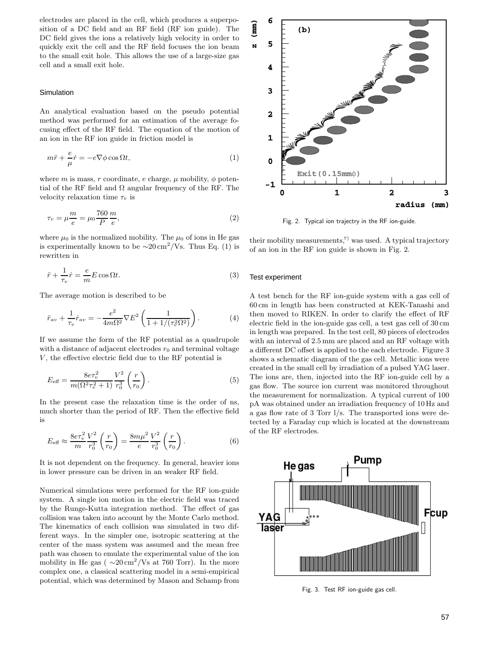electrodes are placed in the cell, which produces a superposition of a DC field and an RF field (RF ion guide). The DC field gives the ions a relatively high velocity in order to quickly exit the cell and the RF field focuses the ion beam to the small exit hole.This allows the use of a large-size gas cell and a small exit hole.

## Simulation

An analytical evaluation based on the pseudo potential method was performed for an estimation of the average focusing effect of the RF field. The equation of the motion of an ion in the RF ion guide in friction model is

$$
m\ddot{r} + \frac{e}{\mu}\dot{r} = -e\nabla\phi\cos\Omega t,\tag{1}
$$

where m is mass, r coordinate, e charge,  $\mu$  mobility,  $\phi$  potential of the RF field and  $\Omega$  angular frequency of the RF. The velocity relaxation time  $\tau_v$  is

$$
\tau_v = \mu \frac{m}{e} = \mu_0 \frac{760}{P} \frac{m}{e},\tag{2}
$$

where  $\mu_0$  is the normalized mobility. The  $\mu_0$  of ions in He gas is experimentally known to be  $\sim 20 \,\mathrm{cm}^2/\mathrm{Vs}$ . Thus Eq. (1) is rewritten in

$$
\ddot{r} + \frac{1}{\tau_v} \dot{r} = \frac{e}{m} E \cos \Omega t.
$$
 (3)

The average motion is described to be

$$
\ddot{r}_{av} + \frac{1}{\tau_v} \dot{r}_{av} = -\frac{e^2}{4m\Omega^2} \nabla E^2 \left( \frac{1}{1 + 1/(\tau_v^2 \Omega^2)} \right). \tag{4}
$$

If we assume the form of the RF potential as a quadrupole with a distance of adjacent electrodes  $r_0$  and terminal voltage  $V$ , the effective electric field due to the RF potential is

$$
E_{\text{eff}} = \frac{8e\tau_v^2}{m(\Omega^2\tau_v^2 + 1)} \frac{V^2}{r_0^3} \left(\frac{r}{r_0}\right). \tag{5}
$$

In the present case the relaxation time is the order of ns, much shorter than the period of RF.Then the effective field is

$$
E_{\text{eff}} \approx \frac{8e\tau_v^2}{m} \frac{V^2}{r_0^3} \left(\frac{r}{r_0}\right) = \frac{8m\mu^2}{e} \frac{V^2}{r_0^3} \left(\frac{r}{r_0}\right). \tag{6}
$$

It is not dependent on the frequency. In general, heavier ions in lower pressure can be driven in an weaker RF field.

Numerical simulations were performed for the RF ion-guide system. A single ion motion in the electric field was traced by the Runge-Kutta integration method. The effect of gas collision was taken into account by the Monte Carlo method. The kinematics of each collision was simulated in two different ways.In the simpler one, isotropic scattering at the center of the mass system was assumed and the mean free path was chosen to emulate the experimental value of the ion mobility in He gas ( $\sim 20 \,\mathrm{cm}^2/\mathrm{Vs}$  at 760 Torr). In the more complex one, a classical scattering model in a semi-empirical potential, which was determined by Mason and Schamp from



Fig. 2. Typical ion trajectry in the RF ion-guide.

their mobility measurements,<sup>7)</sup> was used. A typical trajectory of an ion in the RF ion guide is shown in Fig.2.

#### Test experiment

A test bench for the RF ion-guide system with a gas cell of 60 cm in length has been constructed at KEK-Tanashi and then moved to RIKEN. In order to clarify the effect of RF electric field in the ion-guide gas cell, a test gas cell of 30 cm in length was prepared.In the test cell, 80 pieces of electrodes with an interval of 2.5 mm are placed and an RF voltage with a different DC offset is applied to the each electrode. Figure 3 shows a schematic diagram of the gas cell. Metallic ions were created in the small cell by irradiation of a pulsed YAG laser. The ions are, then, injected into the RF ion-guide cell by a gas flow.The source ion current was monitored throughout the measurement for normalization.A typical current of 100 pA was obtained under an irradiation frequency of 10 Hz and a gas flow rate of 3 Torr  $1/s$ . The transported ions were detected by a Faraday cup which is located at the downstream of the RF electrodes.



Fig. 3. Test RF ion-guide gas cell.